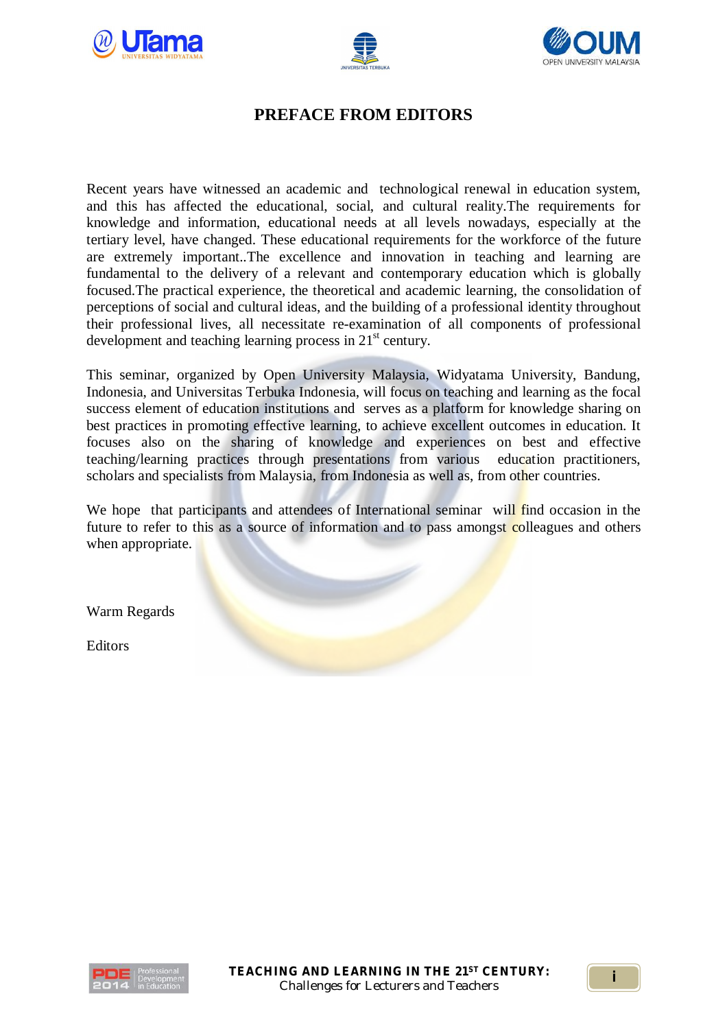





## **PREFACE FROM EDITORS**

Recent years have witnessed an academic and technological renewal in education system, and this has affected the educational, social, and cultural reality.The requirements for knowledge and information, educational needs at all levels nowadays, especially at the tertiary level, have changed. These educational requirements for the workforce of the future are extremely important..The excellence and innovation in teaching and learning are fundamental to the delivery of a relevant and contemporary education which is globally focused.The practical experience, the theoretical and academic learning, the consolidation of perceptions of social and cultural ideas, and the building of a professional identity throughout their professional lives, all necessitate re-examination of all components of professional development and teaching learning process in 21<sup>st</sup> century.

This seminar, organized by Open University Malaysia, Widyatama University, Bandung, Indonesia, and Universitas Terbuka Indonesia, will focus on teaching and learning as the focal success element of education institutions and serves as a platform for knowledge sharing on best practices in promoting effective learning, to achieve excellent outcomes in education. It focuses also on the sharing of knowledge and experiences on best and effective teaching/learning practices through presentations from various education practitioners, scholars and specialists from Malaysia, from Indonesia as well as, from other countries.

We hope that participants and attendees of International seminar will find occasion in the future to refer to this as a source of information and to pass amongst colleagues and others when appropriate.

Warm Regards

Editors

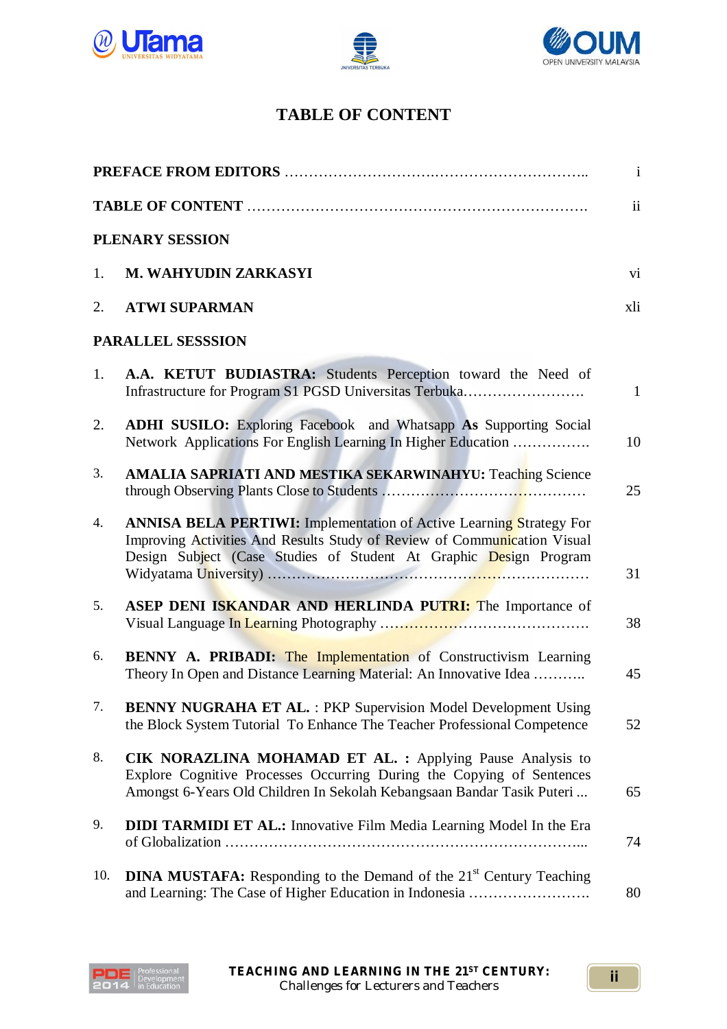





## **TABLE OF CONTENT**

| PLENARY SESSION          |                                                                                                                                                                                                                             |              |  |  |
|--------------------------|-----------------------------------------------------------------------------------------------------------------------------------------------------------------------------------------------------------------------------|--------------|--|--|
| 1.                       | M. WAHYUDIN ZARKASYI                                                                                                                                                                                                        | vi           |  |  |
| 2.                       | <b>ATWI SUPARMAN</b>                                                                                                                                                                                                        | xli          |  |  |
| <b>PARALLEL SESSSION</b> |                                                                                                                                                                                                                             |              |  |  |
| 1.                       | A.A. KETUT BUDIASTRA: Students Perception toward the Need of<br>Infrastructure for Program S1 PGSD Universitas Terbuka                                                                                                      | $\mathbf{1}$ |  |  |
| 2.                       | ADHI SUSILO: Exploring Facebook and Whatsapp As Supporting Social<br>Network Applications For English Learning In Higher Education                                                                                          | 10           |  |  |
| 3.                       | <b>AMALIA SAPRIATI AND MESTIKA SEKARWINAHYU: Teaching Science</b>                                                                                                                                                           | 25           |  |  |
| 4.                       | <b>ANNISA BELA PERTIWI:</b> Implementation of Active Learning Strategy For<br>Improving Activities And Results Study of Review of Communication Visual<br>Design Subject (Case Studies of Student At Graphic Design Program | 31           |  |  |
| 5.                       | ASEP DENI ISKANDAR AND HERLINDA PUTRI: The Importance of                                                                                                                                                                    | 38           |  |  |
| 6.                       | BENNY A. PRIBADI: The Implementation of Constructivism Learning<br>Theory In Open and Distance Learning Material: An Innovative Idea                                                                                        | 45           |  |  |
| 7.                       | <b>BENNY NUGRAHA ET AL.: PKP Supervision Model Development Using</b><br>the Block System Tutorial To Enhance The Teacher Professional Competence                                                                            | 52           |  |  |
| 8.                       | CIK NORAZLINA MOHAMAD ET AL. : Applying Pause Analysis to<br>Explore Cognitive Processes Occurring During the Copying of Sentences<br>Amongst 6-Years Old Children In Sekolah Kebangsaan Bandar Tasik Puteri                | 65           |  |  |
| 9.                       | <b>DIDI TARMIDI ET AL.:</b> Innovative Film Media Learning Model In the Era                                                                                                                                                 | 74           |  |  |
| 10.                      | <b>DINA MUSTAFA:</b> Responding to the Demand of the 21 <sup>st</sup> Century Teaching<br>and Learning: The Case of Higher Education in Indonesia                                                                           | 80           |  |  |

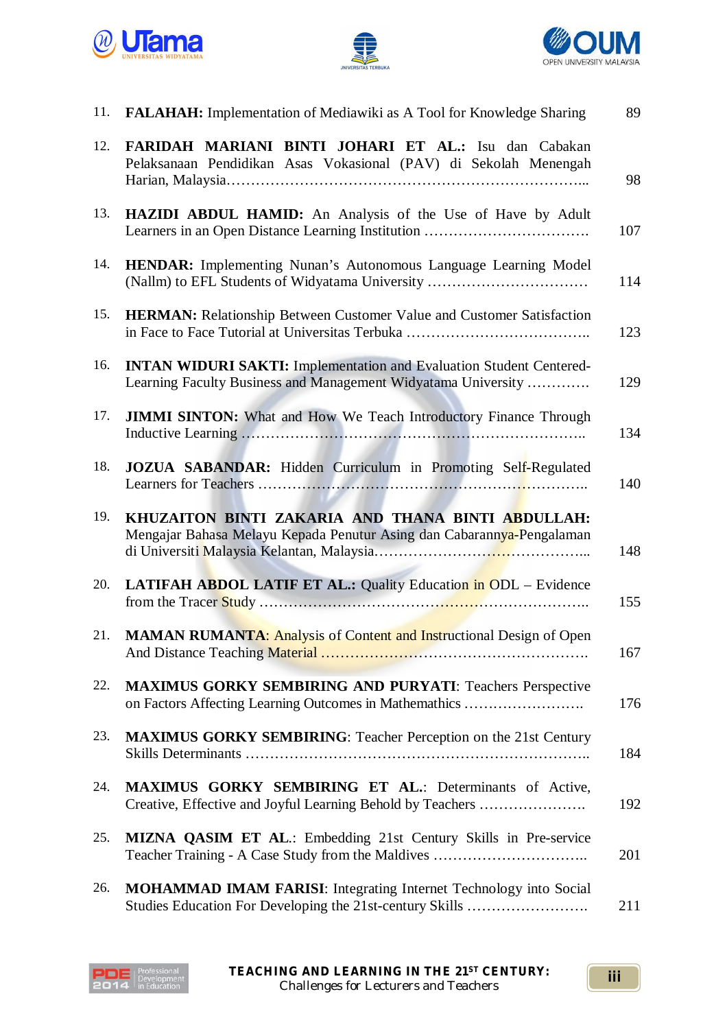





| 11. | <b>FALAHAH:</b> Implementation of Mediawiki as A Tool for Knowledge Sharing                                                                 | 89  |
|-----|---------------------------------------------------------------------------------------------------------------------------------------------|-----|
| 12. | FARIDAH MARIANI BINTI JOHARI ET AL.: Isu dan Cabakan<br>Pelaksanaan Pendidikan Asas Vokasional (PAV) di Sekolah Menengah                    | 98  |
| 13. | <b>HAZIDI ABDUL HAMID:</b> An Analysis of the Use of Have by Adult                                                                          | 107 |
| 14. | HENDAR: Implementing Nunan's Autonomous Language Learning Model<br>(Nallm) to EFL Students of Widyatama University                          | 114 |
| 15. | <b>HERMAN:</b> Relationship Between Customer Value and Customer Satisfaction                                                                | 123 |
| 16. | <b>INTAN WIDURI SAKTI:</b> Implementation and Evaluation Student Centered-<br>Learning Faculty Business and Management Widyatama University | 129 |
| 17. | <b>JIMMI SINTON:</b> What and How We Teach Introductory Finance Through                                                                     | 134 |
| 18. | JOZUA SABANDAR: Hidden Curriculum in Promoting Self-Regulated                                                                               | 140 |
| 19. | KHUZAITON BINTI ZAKARIA AND THANA BINTI ABDULLAH:<br>Mengajar Bahasa Melayu Kepada Penutur Asing dan Cabarannya-Pengalaman                  | 148 |
| 20. | LATIFAH ABDOL LATIF ET AL.: Quality Education in ODL - Evidence                                                                             | 155 |
| 21. | <b>MAMAN RUMANTA: Analysis of Content and Instructional Design of Open</b>                                                                  | 167 |
| 22. | <b>MAXIMUS GORKY SEMBIRING AND PURYATI: Teachers Perspective</b><br>on Factors Affecting Learning Outcomes in Mathemathics                  | 176 |
| 23. | <b>MAXIMUS GORKY SEMBIRING:</b> Teacher Perception on the 21st Century                                                                      | 184 |
| 24. | <b>MAXIMUS GORKY SEMBIRING ET AL.: Determinants of Active,</b><br>Creative, Effective and Joyful Learning Behold by Teachers                | 192 |
| 25. | <b>MIZNA QASIM ET AL.:</b> Embedding 21st Century Skills in Pre-service                                                                     | 201 |
| 26. | <b>MOHAMMAD IMAM FARISI:</b> Integrating Internet Technology into Social<br>Studies Education For Developing the 21st-century Skills        | 211 |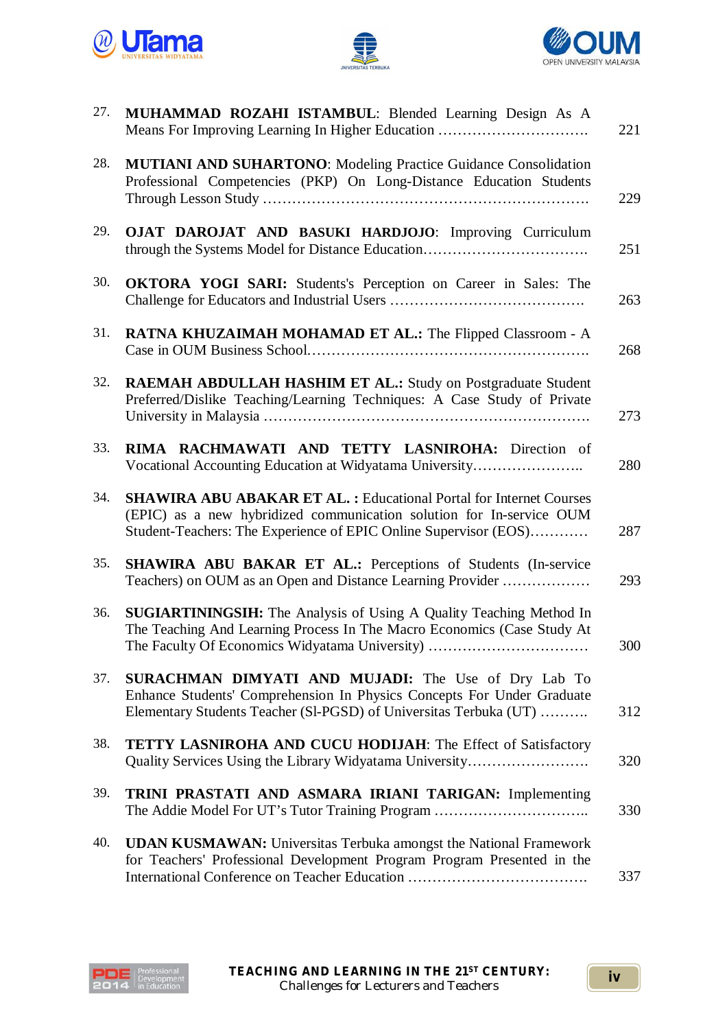





| 27. | MUHAMMAD ROZAHI ISTAMBUL: Blended Learning Design As A<br>Means For Improving Learning In Higher Education                                                                                                            | 221 |
|-----|-----------------------------------------------------------------------------------------------------------------------------------------------------------------------------------------------------------------------|-----|
| 28. | MUTIANI AND SUHARTONO: Modeling Practice Guidance Consolidation<br>Professional Competencies (PKP) On Long-Distance Education Students                                                                                | 229 |
| 29. | OJAT DAROJAT AND BASUKI HARDJOJO: Improving Curriculum<br>through the Systems Model for Distance Education                                                                                                            | 251 |
| 30. | <b>OKTORA YOGI SARI:</b> Students's Perception on Career in Sales: The                                                                                                                                                | 263 |
| 31. | RATNA KHUZAIMAH MOHAMAD ET AL.: The Flipped Classroom - A                                                                                                                                                             | 268 |
| 32. | <b>RAEMAH ABDULLAH HASHIM ET AL.: Study on Postgraduate Student</b><br>Preferred/Dislike Teaching/Learning Techniques: A Case Study of Private                                                                        | 273 |
| 33. | RIMA RACHMAWATI AND TETTY LASNIROHA: Direction of<br>Vocational Accounting Education at Widyatama University                                                                                                          | 280 |
| 34. | <b>SHAWIRA ABU ABAKAR ET AL.: Educational Portal for Internet Courses</b><br>(EPIC) as a new hybridized communication solution for In-service OUM<br>Student-Teachers: The Experience of EPIC Online Supervisor (EOS) | 287 |
| 35. | SHAWIRA ABU BAKAR ET AL.: Perceptions of Students (In-service<br>Teachers) on OUM as an Open and Distance Learning Provider                                                                                           | 293 |
| 36. | <b>SUGIARTININGSIH:</b> The Analysis of Using A Quality Teaching Method In<br>The Teaching And Learning Process In The Macro Economics (Case Study At<br>The Faculty Of Economics Widyatama University)               | 300 |
| 37. | <b>SURACHMAN DIMYATI AND MUJADI:</b> The Use of Dry Lab To<br>Enhance Students' Comprehension In Physics Concepts For Under Graduate<br>Elementary Students Teacher (SI-PGSD) of Universitas Terbuka (UT)             | 312 |
| 38. | <b>TETTY LASNIROHA AND CUCU HODIJAH: The Effect of Satisfactory</b><br>Quality Services Using the Library Widyatama University                                                                                        | 320 |
| 39. | TRINI PRASTATI AND ASMARA IRIANI TARIGAN: Implementing<br>The Addie Model For UT's Tutor Training Program                                                                                                             | 330 |
| 40. | <b>UDAN KUSMAWAN:</b> Universitas Terbuka amongst the National Framework<br>for Teachers' Professional Development Program Program Presented in the                                                                   | 337 |